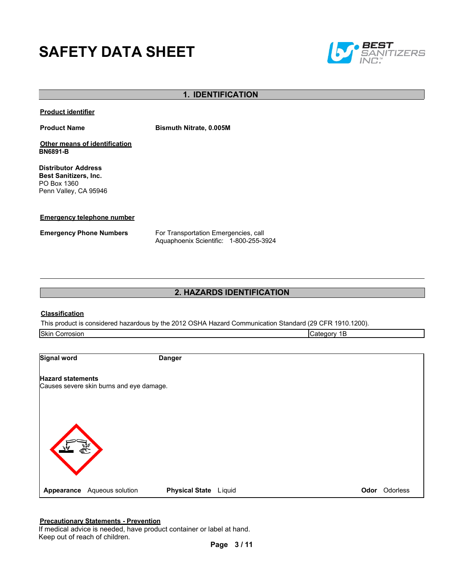# **SAFETY DATA SHEET**



# **1. IDENTIFICATION**

**Product identifier**

**Product Name Bismuth Nitrate, 0.005M**

**Other means of identification BN6891-B**

**Distributor Address Best Sanitizers, Inc.**  PO Box 1360 Penn Valley, CA 95946

#### **Emergency telephone number**

**Emergency Phone Numbers** For Transportation Emergencies, call Aquaphoenix Scientific: 1-800-255-3924

# **2. HAZARDS IDENTIFICATION**

#### **Classification**

This product is considered hazardous by the 2012 OSHA Hazard Communication Standard (29 CFR 1910.1200).

| <b>Skin Corrosion</b>    |                                          |                       | Category 1B |          |
|--------------------------|------------------------------------------|-----------------------|-------------|----------|
|                          |                                          |                       |             |          |
| <b>Signal word</b>       |                                          | <b>Danger</b>         |             |          |
| <b>Hazard statements</b> |                                          |                       |             |          |
|                          | Causes severe skin burns and eye damage. |                       |             |          |
|                          |                                          |                       |             |          |
|                          |                                          |                       |             |          |
|                          |                                          |                       |             |          |
|                          |                                          |                       |             |          |
| Appearance               | Aqueous solution                         | Physical State Liquid | Odor        | Odorless |

#### **Precautionary Statements - Prevention**

If medical advice is needed, have product container or label at hand. Keep out of reach of children.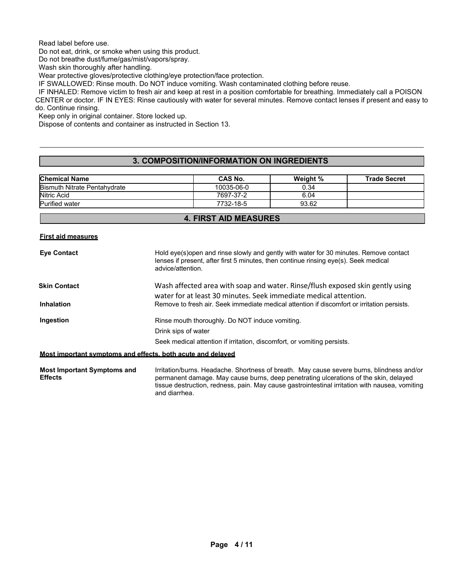Read label before use.

Do not eat, drink, or smoke when using this product.

Do not breathe dust/fume/gas/mist/vapors/spray.

Wash skin thoroughly after handling.

Wear protective gloves/protective clothing/eye protection/face protection.

IF SWALLOWED: Rinse mouth. Do NOT induce vomiting. Wash contaminated clothing before reuse.

IF INHALED: Remove victim to fresh air and keep at rest in a position comfortable for breathing. Immediately call a POISON CENTER or doctor. IF IN EYES: Rinse cautiously with water for several minutes. Remove contact lenses if present and easy to do. Continue rinsing.

Keep only in original container. Store locked up.

Dispose of contents and container as instructed in Section 13.

# **3. COMPOSITION/INFORMATION ON INGREDIENTS**

| <b>Chemical Name</b>                | <b>CAS No.</b> | Weight % | <b>Trade Secret</b> |
|-------------------------------------|----------------|----------|---------------------|
| <b>Bismuth Nitrate Pentahydrate</b> | 10035-06-0     | 0.34     |                     |
| Nitric Acid                         | 7697-37-2      | 6.04     |                     |
| <b>Purified water</b>               | 7732-18-5      | 93.62    |                     |

## **4. FIRST AID MEASURES**

#### **First aid measures**

| <b>Eye Contact</b>                                          | Hold eye(s) open and rinse slowly and gently with water for 30 minutes. Remove contact<br>lenses if present, after first 5 minutes, then continue rinsing eye(s). Seek medical<br>advice/attention. |
|-------------------------------------------------------------|-----------------------------------------------------------------------------------------------------------------------------------------------------------------------------------------------------|
| <b>Skin Contact</b>                                         | Wash affected area with soap and water. Rinse/flush exposed skin gently using                                                                                                                       |
| <b>Inhalation</b>                                           | water for at least 30 minutes. Seek immediate medical attention.<br>Remove to fresh air. Seek immediate medical attention if discomfort or irritation persists.                                     |
| Ingestion                                                   | Rinse mouth thoroughly. Do NOT induce vomiting.                                                                                                                                                     |
|                                                             | Drink sips of water                                                                                                                                                                                 |
|                                                             | Seek medical attention if irritation, discomfort, or vomiting persists.                                                                                                                             |
| Most important symptoms and effects, both acute and delayed |                                                                                                                                                                                                     |
| <b>Most Important Symptoms and</b><br><b>Effects</b>        | Irritation/burns. Headache. Shortness of breath. May cause severe burns, blindness and/or<br>permanent damage. May cause burns, deep penetrating ulcerations of the skin, delayed                   |

and diarrhea.

tissue destruction, redness, pain. May cause gastrointestinal irritation with nausea, vomiting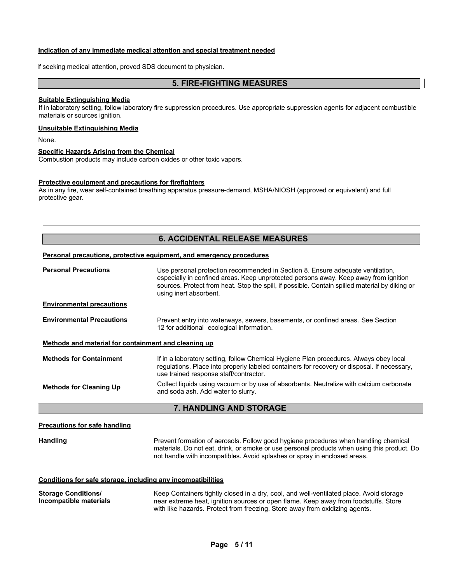## **Indication of any immediate medical attention and special treatment needed**

If seeking medical attention, proved SDS document to physician.

# **5. FIRE-FIGHTING MEASURES**

#### **Suitable Extinguishing Media**

If in laboratory setting, follow laboratory fire suppression procedures. Use appropriate suppression agents for adjacent combustible materials or sources ignition.

#### **Unsuitable Extinguishing Media**

None.

#### **Specific Hazards Arising from the Chemical**

Combustion products may include carbon oxides or other toxic vapors.

#### **Protective equipment and precautions for firefighters**

As in any fire, wear self-contained breathing apparatus pressure-demand, MSHA/NIOSH (approved or equivalent) and full protective gear.

# **6. ACCIDENTAL RELEASE MEASURES**

#### **Personal precautions, protective equipment, and emergency procedures**

| <b>Personal Precautions</b>                          | Use personal protection recommended in Section 8. Ensure adequate ventilation,<br>especially in confined areas. Keep unprotected persons away. Keep away from ignition<br>sources. Protect from heat. Stop the spill, if possible. Contain spilled material by diking or<br>using inert absorbent. |
|------------------------------------------------------|----------------------------------------------------------------------------------------------------------------------------------------------------------------------------------------------------------------------------------------------------------------------------------------------------|
| <b>Environmental precautions</b>                     |                                                                                                                                                                                                                                                                                                    |
| <b>Environmental Precautions</b>                     | Prevent entry into waterways, sewers, basements, or confined areas. See Section<br>12 for additional ecological information.                                                                                                                                                                       |
| Methods and material for containment and cleaning up |                                                                                                                                                                                                                                                                                                    |
| <b>Methods for Containment</b>                       | If in a laboratory setting, follow Chemical Hygiene Plan procedures. Always obey local<br>regulations. Place into properly labeled containers for recovery or disposal. If necessary,<br>use trained response staff/contractor.                                                                    |
| <b>Methods for Cleaning Up</b>                       | Collect liquids using vacuum or by use of absorbents. Neutralize with calcium carbonate<br>and soda ash. Add water to slurry.                                                                                                                                                                      |
|                                                      | 7. HANDLING AND STORAGE                                                                                                                                                                                                                                                                            |
| <u>Precautions for safe handling</u>                 |                                                                                                                                                                                                                                                                                                    |
| Handling                                             | Prevent formation of aerosols. Follow good hygiene procedures when handling chemical<br>materials. Do not eat, drink, or smoke or use personal products when using this product. Do<br>not handle with incompatibles. Avoid splashes or spray in enclosed areas.                                   |

## **Conditions for safe storage, including any incompatibilities**

**Storage Conditions/ Incompatible materials** Keep Containers tightly closed in a dry, cool, and well-ventilated place. Avoid storage near extreme heat, ignition sources or open flame. Keep away from foodstuffs. Store with like hazards. Protect from freezing. Store away from oxidizing agents.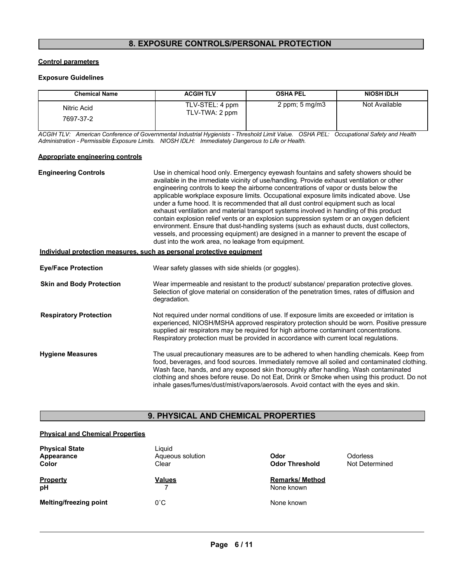# **8. EXPOSURE CONTROLS/PERSONAL PROTECTION**

## **Control parameters**

## **Exposure Guidelines**

| <b>Chemical Name</b>     | <b>ACGIH TLV</b>                  | <b>OSHA PEL</b>           | <b>NIOSH IDLH</b> |
|--------------------------|-----------------------------------|---------------------------|-------------------|
| Nitric Acid<br>7697-37-2 | TLV-STEL: 4 ppm<br>TLV-TWA: 2 ppm | 2 ppm; $5 \text{ mg/m}$ 3 | Not Available     |

*ACGIH TLV: American Conference of Governmental Industrial Hygienists - Threshold Limit Value. OSHA PEL: Occupational Safety and Health Administration - Permissible Exposure Limits. NIOSH IDLH: Immediately Dangerous to Life or Health.*

## **Appropriate engineering controls**

| <b>Engineering Controls</b>                                           | Use in chemical hood only. Emergency eyewash fountains and safety showers should be<br>available in the immediate vicinity of use/handling. Provide exhaust ventilation or other<br>engineering controls to keep the airborne concentrations of vapor or dusts below the<br>applicable workplace exposure limits. Occupational exposure limits indicated above. Use<br>under a fume hood. It is recommended that all dust control equipment such as local<br>exhaust ventilation and material transport systems involved in handling of this product<br>contain explosion relief vents or an explosion suppression system or an oxygen deficient<br>environment. Ensure that dust-handling systems (such as exhaust ducts, dust collectors,<br>vessels, and processing equipment) are designed in a manner to prevent the escape of<br>dust into the work area, no leakage from equipment. |
|-----------------------------------------------------------------------|--------------------------------------------------------------------------------------------------------------------------------------------------------------------------------------------------------------------------------------------------------------------------------------------------------------------------------------------------------------------------------------------------------------------------------------------------------------------------------------------------------------------------------------------------------------------------------------------------------------------------------------------------------------------------------------------------------------------------------------------------------------------------------------------------------------------------------------------------------------------------------------------|
| Individual protection measures, such as personal protective equipment |                                                                                                                                                                                                                                                                                                                                                                                                                                                                                                                                                                                                                                                                                                                                                                                                                                                                                            |
| <b>Eye/Face Protection</b>                                            | Wear safety glasses with side shields (or goggles).                                                                                                                                                                                                                                                                                                                                                                                                                                                                                                                                                                                                                                                                                                                                                                                                                                        |
| <b>Skin and Body Protection</b>                                       | Wear impermeable and resistant to the product/ substance/ preparation protective gloves.<br>Selection of glove material on consideration of the penetration times, rates of diffusion and<br>degradation.                                                                                                                                                                                                                                                                                                                                                                                                                                                                                                                                                                                                                                                                                  |
| <b>Respiratory Protection</b>                                         | Not required under normal conditions of use. If exposure limits are exceeded or irritation is<br>experienced, NIOSH/MSHA approved respiratory protection should be worn. Positive pressure<br>supplied air respirators may be required for high airborne contaminant concentrations.<br>Respiratory protection must be provided in accordance with current local regulations.                                                                                                                                                                                                                                                                                                                                                                                                                                                                                                              |
| <b>Hygiene Measures</b>                                               | The usual precautionary measures are to be adhered to when handling chemicals. Keep from<br>food, beverages, and food sources. Immediately remove all soiled and contaminated clothing.<br>Wash face, hands, and any exposed skin thoroughly after handling. Wash contaminated<br>clothing and shoes before reuse. Do not Eat, Drink or Smoke when using this product. Do not<br>inhale gases/fumes/dust/mist/vapors/aerosols. Avoid contact with the eyes and skin.                                                                                                                                                                                                                                                                                                                                                                                                                       |

# **9. PHYSICAL AND CHEMICAL PROPERTIES**

# **Physical and Chemical Properties**

| <b>Physical State</b><br>Appearance<br>Color | Liauid<br>Aqueous solution<br>Clear | Odor<br><b>Odor Threshold</b>        | <b>Odorless</b><br>Not Determined |
|----------------------------------------------|-------------------------------------|--------------------------------------|-----------------------------------|
| <b>Property</b><br>pH                        | <b>Values</b>                       | <b>Remarks/ Method</b><br>None known |                                   |
| <b>Melting/freezing point</b>                | $0^{\circ}$ C                       | None known                           |                                   |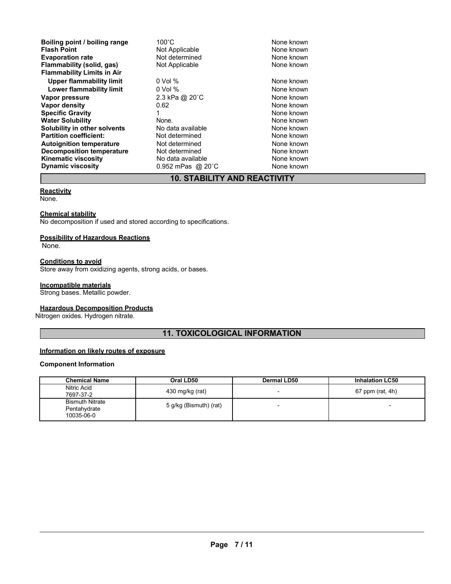| Boiling point / boiling range<br><b>Flash Point</b><br><b>Evaporation rate</b><br>Flammability (solid, gas) | $100^{\circ}$ C<br>Not Applicable<br>Not determined<br>Not Applicable | None known<br>None known<br>None known<br>None known |
|-------------------------------------------------------------------------------------------------------------|-----------------------------------------------------------------------|------------------------------------------------------|
| <b>Flammability Limits in Air</b>                                                                           |                                                                       |                                                      |
| <b>Upper flammability limit</b>                                                                             | $0$ Vol $%$                                                           | None known                                           |
| Lower flammability limit                                                                                    | $0$ Vol $%$                                                           | None known                                           |
| Vapor pressure                                                                                              | 2.3 kPa @ 20°C                                                        | None known                                           |
| Vapor density                                                                                               | 0.62                                                                  | None known                                           |
| <b>Specific Gravity</b>                                                                                     |                                                                       | None known                                           |
| <b>Water Solubility</b>                                                                                     | None.                                                                 | None known                                           |
| Solubility in other solvents                                                                                | No data available                                                     | None known                                           |
| <b>Partition coefficient:</b>                                                                               | Not determined                                                        | None known                                           |
| <b>Autoignition temperature</b>                                                                             | Not determined                                                        | None known                                           |
| <b>Decomposition temperature</b>                                                                            | Not determined                                                        | None known                                           |
| <b>Kinematic viscosity</b>                                                                                  | No data available                                                     | None known                                           |
| <b>Dynamic viscosity</b>                                                                                    | 0.952 mPas @ 20 °C                                                    | None known                                           |

# **10. STABILITY AND REACTIVITY**

# **Reactivity**

None.

## **Chemical stability**

No decomposition if used and stored according to specifications.

#### **Possibility of Hazardous Reactions**

None.

## **Conditions to avoid**

Store away from oxidizing agents, strong acids, or bases.

#### **Incompatible materials**

Strong bases. Metallic powder.

## **Hazardous Decomposition Products**

Nitrogen oxides. Hydrogen nitrate.

# **11. TOXICOLOGICAL INFORMATION**

# **Information on likely routes of exposure**

## **Component Information**

| <b>Chemical Name</b>                                 | Oral LD50              | <b>Dermal LD50</b>       | <b>Inhalation LC50</b> |
|------------------------------------------------------|------------------------|--------------------------|------------------------|
| Nitric Acid<br>7697-37-2                             | 430 mg/kg (rat)        | $\overline{\phantom{0}}$ | 67 ppm (rat, 4h)       |
| <b>Bismuth Nitrate</b><br>Pentahydrate<br>10035-06-0 | 5 g/kg (Bismuth) (rat) | $\overline{\phantom{a}}$ |                        |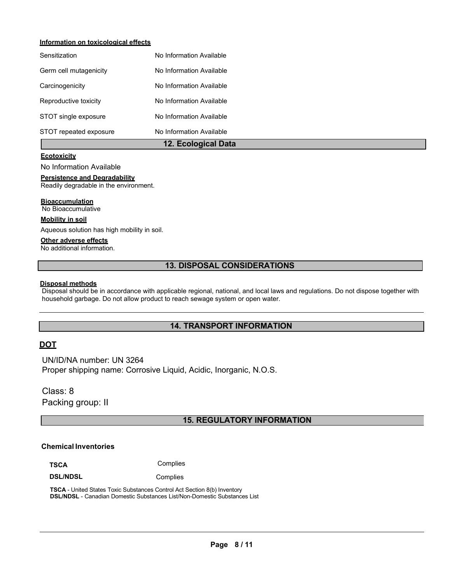# **Information on toxicological effects**

|                        | 12. Ecological Data      |
|------------------------|--------------------------|
| STOT repeated exposure | No Information Available |
| STOT single exposure   | No Information Available |
| Reproductive toxicity  | No Information Available |
| Carcinogenicity        | No Information Available |
| Germ cell mutagenicity | No Information Available |
| Sensitization          | No Information Available |

# **Ecotoxicity**

No Information Available

#### **Persistence and Degradability**

Readily degradable in the environment.

#### **Bioaccumulation**

No Bioaccumulative

#### **Mobility in soil**

Aqueous solution has high mobility in soil.

## **Other adverse effects**

No additional information.

# **13. DISPOSAL CONSIDERATIONS**

#### **Disposal methods**

Disposal should be in accordance with applicable regional, national, and local laws and regulations. Do not dispose together with household garbage. Do not allow product to reach sewage system or open water.

# **14. TRANSPORT INFORMATION**

# **DOT**

UN/ID/NA number: UN 3264 Proper shipping name: Corrosive Liquid, Acidic, Inorganic, N.O.S.

Class: 8 Packing group: II

# **15. REGULATORY INFORMATION**

# **Chemical Inventories**

**TSCA** Complies

**DSL/NDSL** Complies

**TSCA** - United States Toxic Substances Control Act Section 8(b) Inventory **DSL/NDSL** - Canadian Domestic Substances List/Non-Domestic Substances List